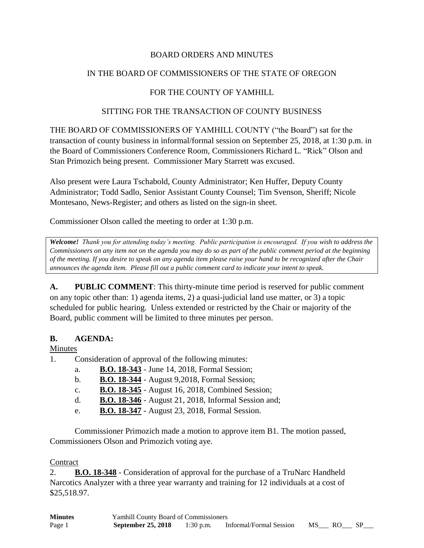### BOARD ORDERS AND MINUTES

## IN THE BOARD OF COMMISSIONERS OF THE STATE OF OREGON

## FOR THE COUNTY OF YAMHILL

#### SITTING FOR THE TRANSACTION OF COUNTY BUSINESS

THE BOARD OF COMMISSIONERS OF YAMHILL COUNTY ("the Board") sat for the transaction of county business in informal/formal session on September 25, 2018, at 1:30 p.m. in the Board of Commissioners Conference Room, Commissioners Richard L. "Rick" Olson and Stan Primozich being present. Commissioner Mary Starrett was excused.

Also present were Laura Tschabold, County Administrator; Ken Huffer, Deputy County Administrator; Todd Sadlo, Senior Assistant County Counsel; Tim Svenson, Sheriff; Nicole Montesano, News-Register; and others as listed on the sign-in sheet.

Commissioner Olson called the meeting to order at 1:30 p.m.

*Welcome! Thank you for attending today's meeting. Public participation is encouraged. If you wish to address the Commissioners on any item not on the agenda you may do so as part of the public comment period at the beginning of the meeting. If you desire to speak on any agenda item please raise your hand to be recognized after the Chair announces the agenda item. Please fill out a public comment card to indicate your intent to speak.*

**A. PUBLIC COMMENT**: This thirty-minute time period is reserved for public comment on any topic other than: 1) agenda items, 2) a quasi-judicial land use matter, or 3) a topic scheduled for public hearing. Unless extended or restricted by the Chair or majority of the Board, public comment will be limited to three minutes per person.

#### **B. AGENDA:**

#### Minutes

- 1. Consideration of approval of the following minutes:
	- a. **B.O. 18-343** June 14, 2018, Formal Session;
	- b. **B.O. 18-344** August 9,2018, Formal Session;
	- c. **B.O. 18-345** August 16, 2018, Combined Session;
	- d. **B.O. 18-346** August 21, 2018, Informal Session and;
	- e. **B.O. 18-347** August 23, 2018, Formal Session.

Commissioner Primozich made a motion to approve item B1. The motion passed, Commissioners Olson and Primozich voting aye.

#### **Contract**

2. **B.O. 18-348** - Consideration of approval for the purchase of a TruNarc Handheld Narcotics Analyzer with a three year warranty and training for 12 individuals at a cost of \$25,518.97.

| <b>Minutes</b> | <b>Yamhill County Board of Commissioners</b> |           |                         |    |       |  |
|----------------|----------------------------------------------|-----------|-------------------------|----|-------|--|
| Page 1         | <b>September 25, 2018</b>                    | 1:30 p.m. | Informal/Formal Session | MS | RO RO |  |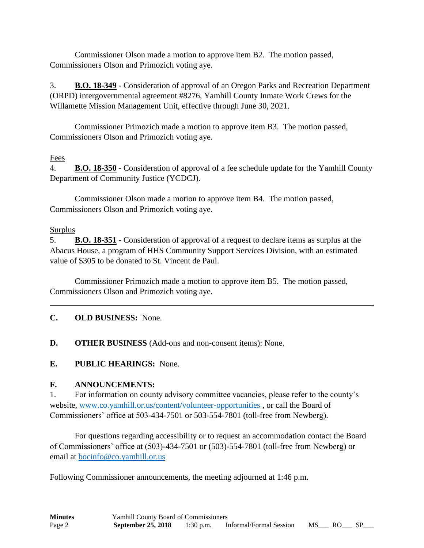Commissioner Olson made a motion to approve item B2. The motion passed, Commissioners Olson and Primozich voting aye.

3. **B.O. 18-349** - Consideration of approval of an Oregon Parks and Recreation Department (ORPD) intergovernmental agreement #8276, Yamhill County Inmate Work Crews for the Willamette Mission Management Unit, effective through June 30, 2021.

Commissioner Primozich made a motion to approve item B3. The motion passed, Commissioners Olson and Primozich voting aye.

## Fees

4. **B.O. 18-350** - Consideration of approval of a fee schedule update for the Yamhill County Department of Community Justice (YCDCJ).

Commissioner Olson made a motion to approve item B4. The motion passed, Commissioners Olson and Primozich voting aye.

## Surplus

5. **B.O. 18-351** - Consideration of approval of a request to declare items as surplus at the Abacus House, a program of HHS Community Support Services Division, with an estimated value of \$305 to be donated to St. Vincent de Paul.

Commissioner Primozich made a motion to approve item B5. The motion passed, Commissioners Olson and Primozich voting aye.

# **C. OLD BUSINESS:** None.

**D. OTHER BUSINESS** (Add-ons and non-consent items): None.

**E. PUBLIC HEARINGS:** None.

# **F. ANNOUNCEMENTS:**

1. For information on county advisory committee vacancies, please refer to the county's website, [www.co.yamhill.or.us/content/volunteer-opportunities](http://www.co.yamhill.or.us/content/volunteer-opportunities) , or call the Board of Commissioners' office at 503-434-7501 or 503-554-7801 (toll-free from Newberg).

For questions regarding accessibility or to request an accommodation contact the Board of Commissioners' office at (503)-434-7501 or (503)-554-7801 (toll-free from Newberg) or email at [bocinfo@co.yamhill.or.us](mailto:bocinfo@co.yamhill.or.us)

Following Commissioner announcements, the meeting adjourned at 1:46 p.m.